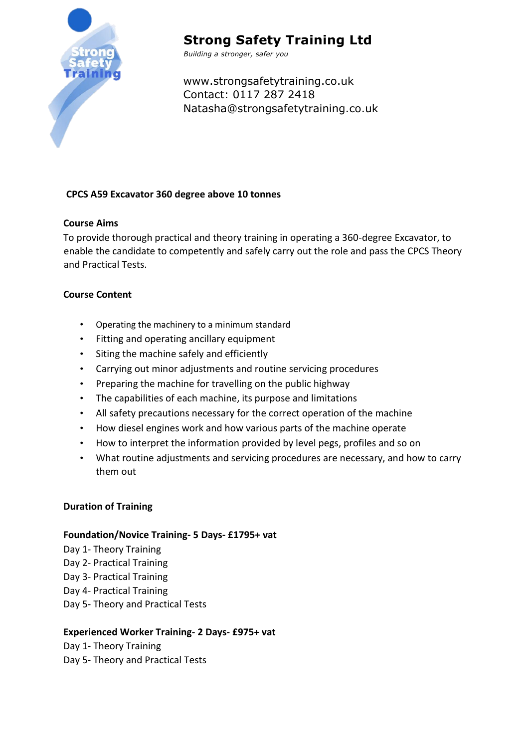

# **Strong Safety Training Ltd**

*Building a stronger, safer you*

www.strongsafetytraining.co.uk Contact: 0117 287 2418 Natasha@strongsafetytraining.co.uk

## **CPCS A59 Excavator 360 degree above 10 tonnes**

### **Course Aims**

To provide thorough practical and theory training in operating a 360-degree Excavator, to enable the candidate to competently and safely carry out the role and pass the CPCS Theory and Practical Tests.

## **Course Content**

- Operating the machinery to a minimum standard
- Fitting and operating ancillary equipment
- Siting the machine safely and efficiently
- Carrying out minor adjustments and routine servicing procedures
- Preparing the machine for travelling on the public highway
- The capabilities of each machine, its purpose and limitations
- All safety precautions necessary for the correct operation of the machine
- How diesel engines work and how various parts of the machine operate
- How to interpret the information provided by level pegs, profiles and so on
- What routine adjustments and servicing procedures are necessary, and how to carry them out

### **Duration of Training**

### **Foundation/Novice Training- 5 Days- £1795+ vat**

Day 1- Theory Training Day 2- Practical Training Day 3- Practical Training Day 4- Practical Training Day 5- Theory and Practical Tests

### **Experienced Worker Training- 2 Days- £975+ vat**

Day 1- Theory Training Day 5- Theory and Practical Tests